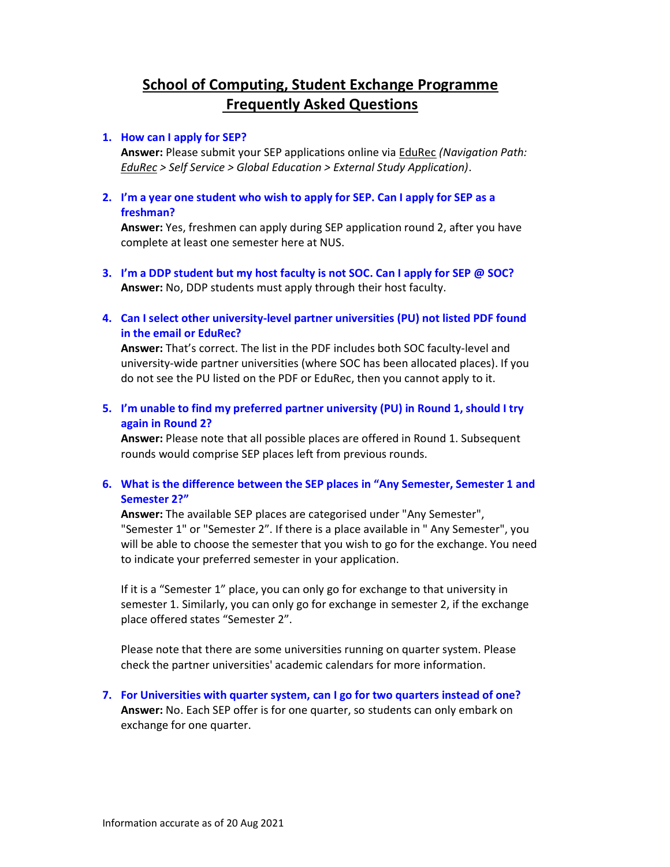# School of Computing, Student Exchange Programme Frequently Asked Questions

### 1. How can I apply for SEP?

Answer: Please submit your SEP applications online via EduRec (Navigation Path: EduRec > Self Service > Global Education > External Study Application).

2. I'm a year one student who wish to apply for SEP. Can I apply for SEP as a freshman?

Answer: Yes, freshmen can apply during SEP application round 2, after you have complete at least one semester here at NUS.

- 3. I'm a DDP student but my host faculty is not SOC. Can I apply for SEP @ SOC? Answer: No, DDP students must apply through their host faculty.
- 4. Can I select other university-level partner universities (PU) not listed PDF found in the email or EduRec?

Answer: That's correct. The list in the PDF includes both SOC faculty-level and university-wide partner universities (where SOC has been allocated places). If you do not see the PU listed on the PDF or EduRec, then you cannot apply to it.

5. I'm unable to find my preferred partner university (PU) in Round 1, should I try again in Round 2?

Answer: Please note that all possible places are offered in Round 1. Subsequent rounds would comprise SEP places left from previous rounds.

6. What is the difference between the SEP places in "Any Semester, Semester 1 and Semester 2?"

Answer: The available SEP places are categorised under "Any Semester", "Semester 1" or "Semester 2". If there is a place available in " Any Semester", you will be able to choose the semester that you wish to go for the exchange. You need to indicate your preferred semester in your application.

If it is a "Semester 1" place, you can only go for exchange to that university in semester 1. Similarly, you can only go for exchange in semester 2, if the exchange place offered states "Semester 2".

Please note that there are some universities running on quarter system. Please check the partner universities' academic calendars for more information.

7. For Universities with quarter system, can I go for two quarters instead of one? Answer: No. Each SEP offer is for one quarter, so students can only embark on exchange for one quarter.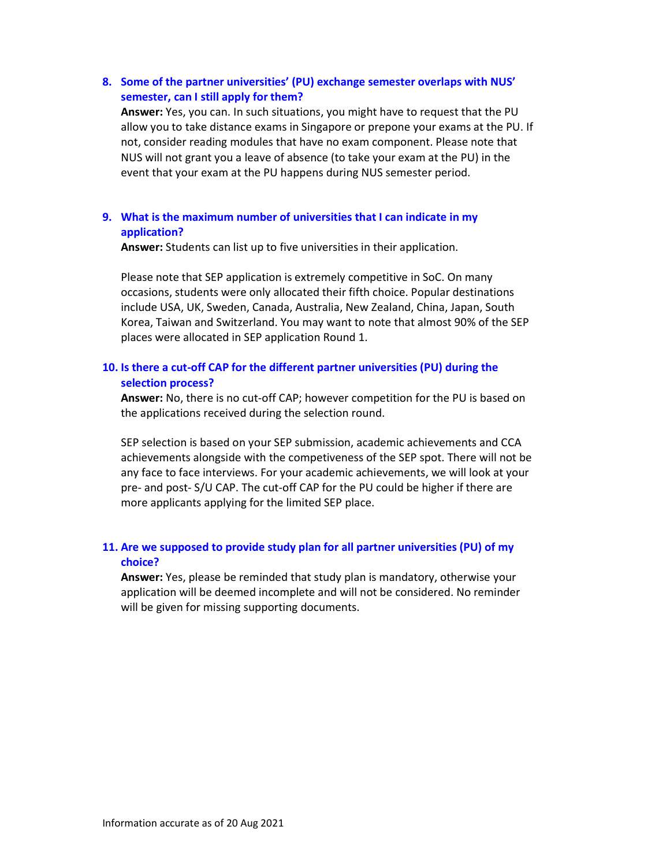### 8. Some of the partner universities' (PU) exchange semester overlaps with NUS' semester, can I still apply for them?

Answer: Yes, you can. In such situations, you might have to request that the PU allow you to take distance exams in Singapore or prepone your exams at the PU. If not, consider reading modules that have no exam component. Please note that NUS will not grant you a leave of absence (to take your exam at the PU) in the event that your exam at the PU happens during NUS semester period.

### 9. What is the maximum number of universities that I can indicate in my application?

Answer: Students can list up to five universities in their application.

Please note that SEP application is extremely competitive in SoC. On many occasions, students were only allocated their fifth choice. Popular destinations include USA, UK, Sweden, Canada, Australia, New Zealand, China, Japan, South Korea, Taiwan and Switzerland. You may want to note that almost 90% of the SEP places were allocated in SEP application Round 1.

# 10. Is there a cut-off CAP for the different partner universities (PU) during the selection process?

Answer: No, there is no cut-off CAP; however competition for the PU is based on the applications received during the selection round.

SEP selection is based on your SEP submission, academic achievements and CCA achievements alongside with the competiveness of the SEP spot. There will not be any face to face interviews. For your academic achievements, we will look at your pre- and post- S/U CAP. The cut-off CAP for the PU could be higher if there are more applicants applying for the limited SEP place.

# 11. Are we supposed to provide study plan for all partner universities (PU) of my choice?

Answer: Yes, please be reminded that study plan is mandatory, otherwise your application will be deemed incomplete and will not be considered. No reminder will be given for missing supporting documents.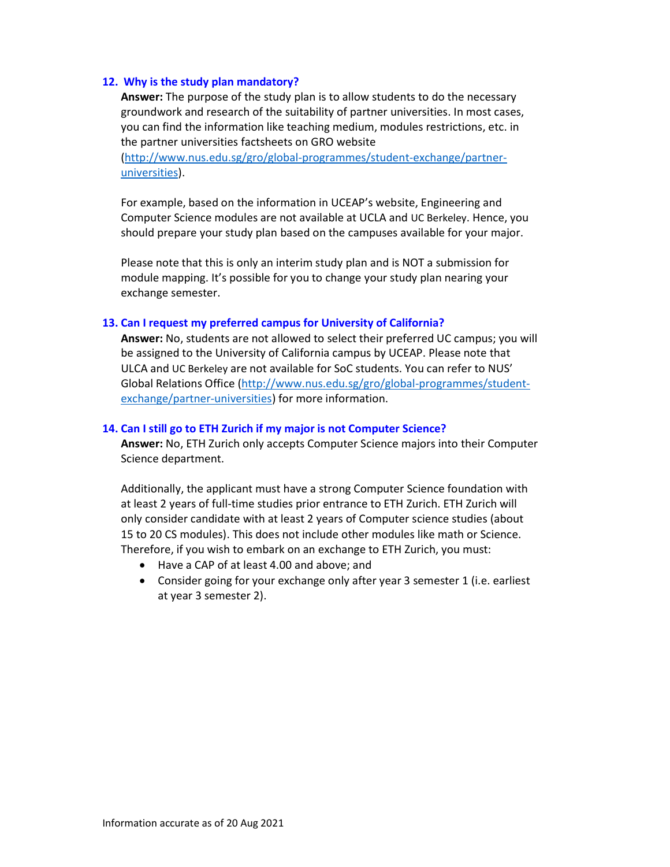### 12. Why is the study plan mandatory?

Answer: The purpose of the study plan is to allow students to do the necessary groundwork and research of the suitability of partner universities. In most cases, you can find the information like teaching medium, modules restrictions, etc. in the partner universities factsheets on GRO website

(http://www.nus.edu.sg/gro/global-programmes/student-exchange/partneruniversities).

For example, based on the information in UCEAP's website, Engineering and Computer Science modules are not available at UCLA and UC Berkeley. Hence, you should prepare your study plan based on the campuses available for your major.

Please note that this is only an interim study plan and is NOT a submission for module mapping. It's possible for you to change your study plan nearing your exchange semester.

#### 13. Can I request my preferred campus for University of California?

Answer: No, students are not allowed to select their preferred UC campus; you will be assigned to the University of California campus by UCEAP. Please note that ULCA and UC Berkeley are not available for SoC students. You can refer to NUS' Global Relations Office (http://www.nus.edu.sg/gro/global-programmes/studentexchange/partner-universities) for more information.

#### 14. Can I still go to ETH Zurich if my major is not Computer Science?

Answer: No, ETH Zurich only accepts Computer Science majors into their Computer Science department.

Additionally, the applicant must have a strong Computer Science foundation with at least 2 years of full-time studies prior entrance to ETH Zurich. ETH Zurich will only consider candidate with at least 2 years of Computer science studies (about 15 to 20 CS modules). This does not include other modules like math or Science. Therefore, if you wish to embark on an exchange to ETH Zurich, you must:

- Have a CAP of at least 4.00 and above; and
- Consider going for your exchange only after year 3 semester 1 (i.e. earliest at year 3 semester 2).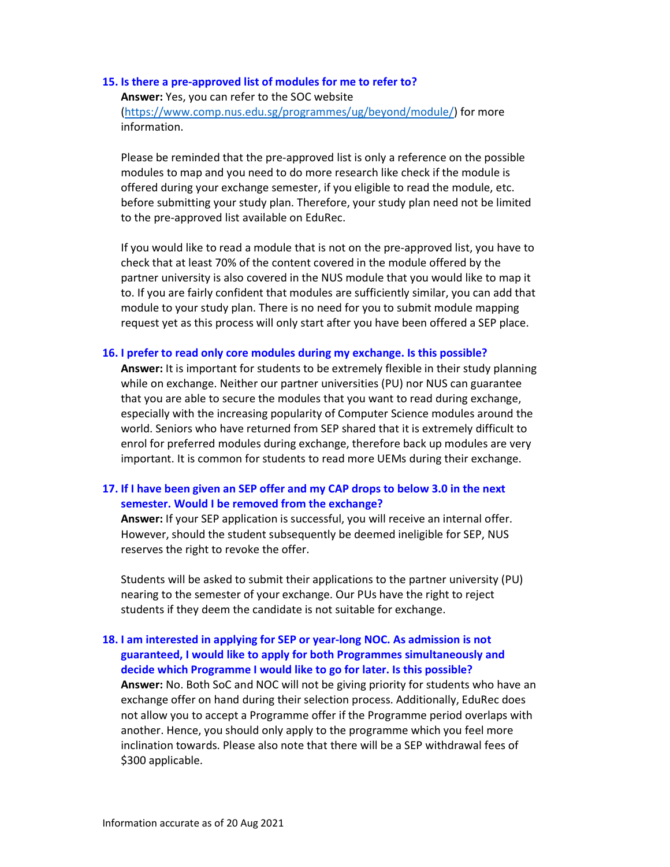### 15. Is there a pre-approved list of modules for me to refer to? Answer: Yes, you can refer to the SOC website (https://www.comp.nus.edu.sg/programmes/ug/beyond/module/) for more information.

Please be reminded that the pre-approved list is only a reference on the possible modules to map and you need to do more research like check if the module is offered during your exchange semester, if you eligible to read the module, etc. before submitting your study plan. Therefore, your study plan need not be limited to the pre-approved list available on EduRec.

If you would like to read a module that is not on the pre-approved list, you have to check that at least 70% of the content covered in the module offered by the partner university is also covered in the NUS module that you would like to map it to. If you are fairly confident that modules are sufficiently similar, you can add that module to your study plan. There is no need for you to submit module mapping request yet as this process will only start after you have been offered a SEP place.

### 16. I prefer to read only core modules during my exchange. Is this possible?

Answer: It is important for students to be extremely flexible in their study planning while on exchange. Neither our partner universities (PU) nor NUS can guarantee that you are able to secure the modules that you want to read during exchange, especially with the increasing popularity of Computer Science modules around the world. Seniors who have returned from SEP shared that it is extremely difficult to enrol for preferred modules during exchange, therefore back up modules are very important. It is common for students to read more UEMs during their exchange.

# 17. If I have been given an SEP offer and my CAP drops to below 3.0 in the next semester. Would I be removed from the exchange?

Answer: If your SEP application is successful, you will receive an internal offer. However, should the student subsequently be deemed ineligible for SEP, NUS reserves the right to revoke the offer.

Students will be asked to submit their applications to the partner university (PU) nearing to the semester of your exchange. Our PUs have the right to reject students if they deem the candidate is not suitable for exchange.

# 18. I am interested in applying for SEP or year-long NOC. As admission is not guaranteed, I would like to apply for both Programmes simultaneously and decide which Programme I would like to go for later. Is this possible? Answer: No. Both SoC and NOC will not be giving priority for students who have an exchange offer on hand during their selection process. Additionally, EduRec does not allow you to accept a Programme offer if the Programme period overlaps with another. Hence, you should only apply to the programme which you feel more inclination towards. Please also note that there will be a SEP withdrawal fees of

\$300 applicable.